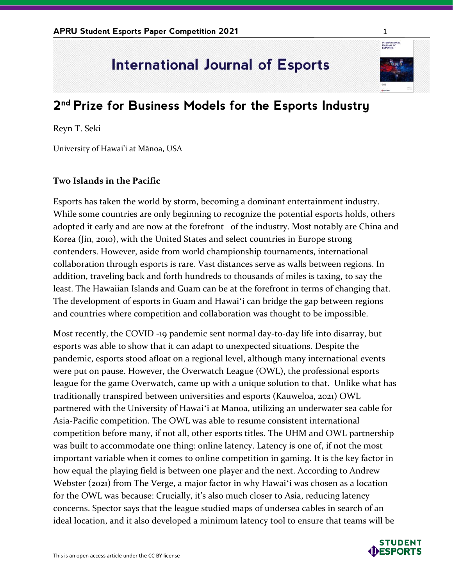## **International Journal of Esports**

## **2 nd Prize for Business Models for the Esports Industry**

Reyn T. Seki

University of Hawai'i at Mānoa, USA

## **Two Islands in the Pacific**

Esports has taken the world by storm, becoming a dominant entertainment industry. While some countries are only beginning to recognize the potential esports holds, others adopted it early and are now at the forefront of the industry. Most notably are China and Korea (Jin, 2010), with the United States and select countries in Europe strong contenders. However, aside from world championship tournaments, international collaboration through esports is rare. Vast distances serve as walls between regions. In addition, traveling back and forth hundreds to thousands of miles is taxing, to say the least. The Hawaiian Islands and Guam can be at the forefront in terms of changing that. The development of esports in Guam and Hawaiʻi can bridge the gap between regions and countries where competition and collaboration was thought to be impossible.

Most recently, the COVID -19 pandemic sent normal day-to-day life into disarray, but esports was able to show that it can adapt to unexpected situations. Despite the pandemic, esports stood afloat on a regional level, although many international events were put on pause. However, the Overwatch League (OWL), the professional esports league for the game Overwatch, came up with a unique solution to that. Unlike what has traditionally transpired between universities and esports (Kauweloa, 2021) OWL partnered with the University of Hawaiʻi at Manoa, utilizing an underwater sea cable for Asia-Pacific competition. The OWL was able to resume consistent international competition before many, if not all, other esports titles. The UHM and OWL partnership was built to accommodate one thing: online latency. Latency is one of, if not the most important variable when it comes to online competition in gaming. It is the key factor in how equal the playing field is between one player and the next. According to Andrew Webster (2021) from The Verge, a major factor in why Hawaiʻi was chosen as a location for the OWL was because: Crucially, it's also much closer to Asia, reducing latency concerns. Spector says that the league studied maps of undersea cables in search of an ideal location, and it also developed a minimum latency tool to ensure that teams will be

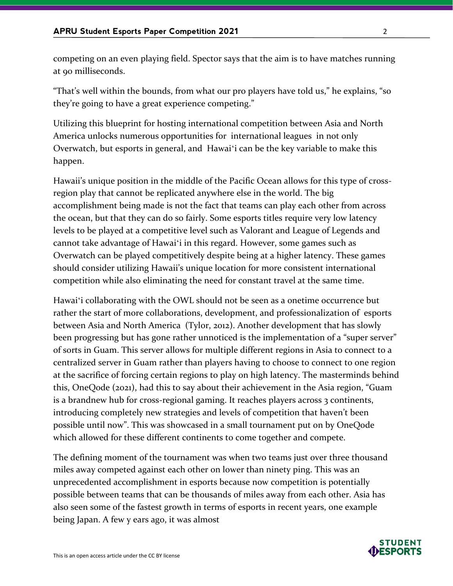competing on an even playing field. Spector says that the aim is to have matches running at 90 milliseconds.

"That's well within the bounds, from what our pro players have told us," he explains, "so they're going to have a great experience competing."

Utilizing this blueprint for hosting international competition between Asia and North America unlocks numerous opportunities for international leagues in not only Overwatch, but esports in general, and Hawaiʻi can be the key variable to make this happen.

Hawaii's unique position in the middle of the Pacific Ocean allows for this type of crossregion play that cannot be replicated anywhere else in the world. The big accomplishment being made is not the fact that teams can play each other from across the ocean, but that they can do so fairly. Some esports titles require very low latency levels to be played at a competitive level such as Valorant and League of Legends and cannot take advantage of Hawaiʻi in this regard. However, some games such as Overwatch can be played competitively despite being at a higher latency. These games should consider utilizing Hawaii's unique location for more consistent international competition while also eliminating the need for constant travel at the same time.

Hawaiʻi collaborating with the OWL should not be seen as a onetime occurrence but rather the start of more collaborations, development, and professionalization of esports between Asia and North America (Tylor, 2012). Another development that has slowly been progressing but has gone rather unnoticed is the implementation of a "super server" of sorts in Guam. This server allows for multiple different regions in Asia to connect to a centralized server in Guam rather than players having to choose to connect to one region at the sacrifice of forcing certain regions to play on high latency. The masterminds behind this, OneQode (2021), had this to say about their achievement in the Asia region, "Guam is a brandnew hub for cross-regional gaming. It reaches players across 3 continents, introducing completely new strategies and levels of competition that haven't been possible until now". This was showcased in a small tournament put on by OneQode which allowed for these different continents to come together and compete.

The defining moment of the tournament was when two teams just over three thousand miles away competed against each other on lower than ninety ping. This was an unprecedented accomplishment in esports because now competition is potentially possible between teams that can be thousands of miles away from each other. Asia has also seen some of the fastest growth in terms of esports in recent years, one example being Japan. A few y ears ago, it was almost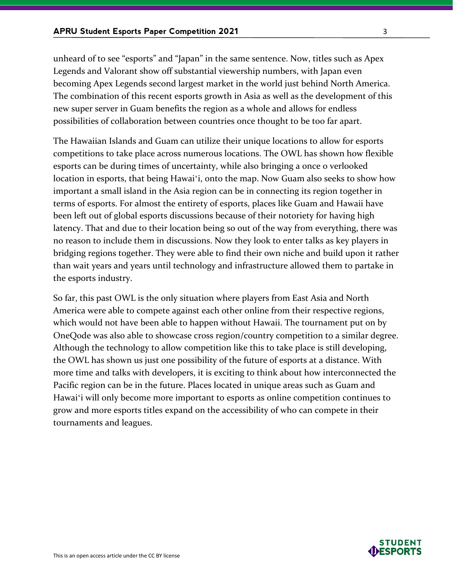unheard of to see "esports" and "Japan" in the same sentence. Now, titles such as Apex Legends and Valorant show off substantial viewership numbers, with Japan even becoming Apex Legends second largest market in the world just behind North America. The combination of this recent esports growth in Asia as well as the development of this new super server in Guam benefits the region as a whole and allows for endless possibilities of collaboration between countries once thought to be too far apart.

The Hawaiian Islands and Guam can utilize their unique locations to allow for esports competitions to take place across numerous locations. The OWL has shown how flexible esports can be during times of uncertainty, while also bringing a once o verlooked location in esports, that being Hawaiʻi, onto the map. Now Guam also seeks to show how important a small island in the Asia region can be in connecting its region together in terms of esports. For almost the entirety of esports, places like Guam and Hawaii have been left out of global esports discussions because of their notoriety for having high latency. That and due to their location being so out of the way from everything, there was no reason to include them in discussions. Now they look to enter talks as key players in bridging regions together. They were able to find their own niche and build upon it rather than wait years and years until technology and infrastructure allowed them to partake in the esports industry.

So far, this past OWL is the only situation where players from East Asia and North America were able to compete against each other online from their respective regions, which would not have been able to happen without Hawaii. The tournament put on by OneQode was also able to showcase cross region/country competition to a similar degree. Although the technology to allow competition like this to take place is still developing, the OWL has shown us just one possibility of the future of esports at a distance. With more time and talks with developers, it is exciting to think about how interconnected the Pacific region can be in the future. Places located in unique areas such as Guam and Hawaiʻi will only become more important to esports as online competition continues to grow and more esports titles expand on the accessibility of who can compete in their tournaments and leagues.